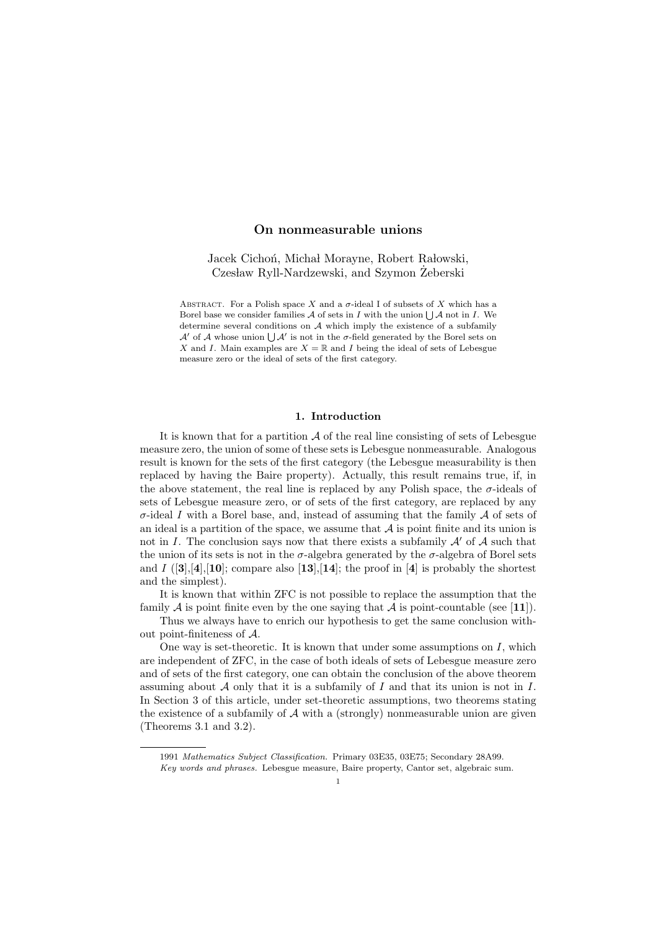# On nonmeasurable unions

Jacek Cichoń, Michał Morayne, Robert Rałowski, Czesław Ryll-Nardzewski, and Szymon Żeberski

ABSTRACT. For a Polish space X and a  $\sigma$ -ideal I of subsets of X which has a Borel base we consider families  $A$  of sets in I with the union  $\bigcup A$  not in I. We determine several conditions on A which imply the existence of a subfamily  $\mathcal{A}'$  of  $\mathcal A$  whose union  $\bigcup \mathcal{A}'$  is not in the  $\sigma$ -field generated by the Borel sets on X and I. Main examples are  $X = \mathbb{R}$  and I being the ideal of sets of Lebesgue measure zero or the ideal of sets of the first category.

# 1. Introduction

It is known that for a partition  $A$  of the real line consisting of sets of Lebesgue measure zero, the union of some of these sets is Lebesgue nonmeasurable. Analogous result is known for the sets of the first category (the Lebesgue measurability is then replaced by having the Baire property). Actually, this result remains true, if, in the above statement, the real line is replaced by any Polish space, the  $\sigma$ -ideals of sets of Lebesgue measure zero, or of sets of the first category, are replaced by any  $\sigma$ -ideal I with a Borel base, and, instead of assuming that the family A of sets of an ideal is a partition of the space, we assume that  $A$  is point finite and its union is not in I. The conclusion says now that there exists a subfamily  $\mathcal{A}'$  of  $\mathcal{A}$  such that the union of its sets is not in the  $\sigma$ -algebra generated by the  $\sigma$ -algebra of Borel sets and  $I$  ([3],[4],[10]; compare also [13],[14]; the proof in [4] is probably the shortest and the simplest).

It is known that within ZFC is not possible to replace the assumption that the family  $A$  is point finite even by the one saying that  $A$  is point-countable (see [11]).

Thus we always have to enrich our hypothesis to get the same conclusion without point-finiteness of A.

One way is set-theoretic. It is known that under some assumptions on  $I$ , which are independent of ZFC, in the case of both ideals of sets of Lebesgue measure zero and of sets of the first category, one can obtain the conclusion of the above theorem assuming about A only that it is a subfamily of I and that its union is not in I. In Section 3 of this article, under set-theoretic assumptions, two theorems stating the existence of a subfamily of  $A$  with a (strongly) nonmeasurable union are given (Theorems 3.1 and 3.2).

<sup>1991</sup> Mathematics Subject Classification. Primary 03E35, 03E75; Secondary 28A99.

Key words and phrases. Lebesgue measure, Baire property, Cantor set, algebraic sum.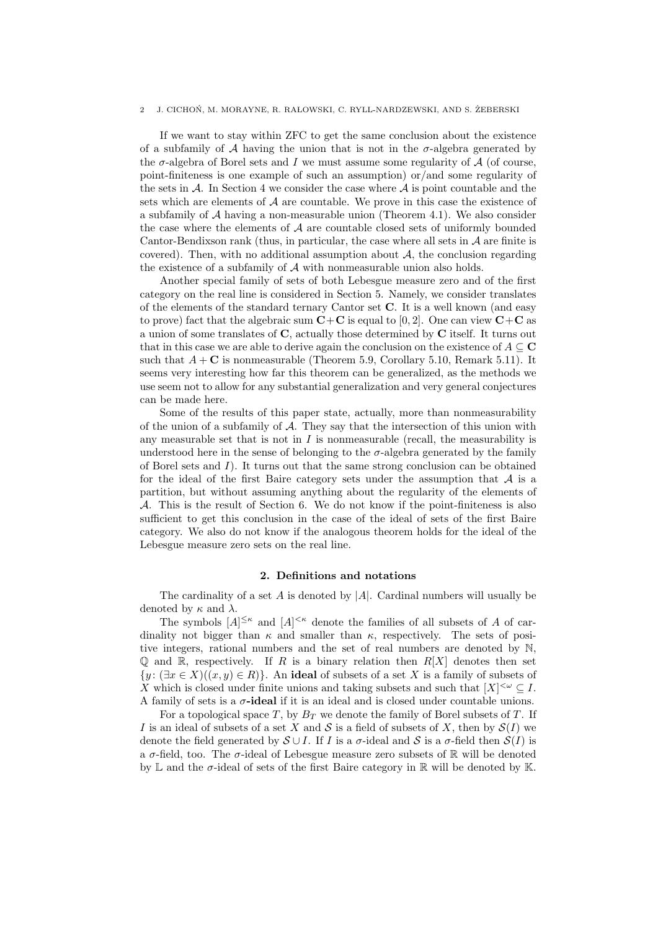#### J. CICHOŃ, M. MORAYNE, R. RAŁOWSKI, C. RYLL-NARDZEWSKI, AND S. ŻEBERSKI

If we want to stay within ZFC to get the same conclusion about the existence of a subfamily of A having the union that is not in the  $\sigma$ -algebra generated by the  $\sigma$ -algebra of Borel sets and I we must assume some regularity of  $A$  (of course, point-finiteness is one example of such an assumption) or/and some regularity of the sets in  $\mathcal A$ . In Section 4 we consider the case where  $\mathcal A$  is point countable and the sets which are elements of  $A$  are countable. We prove in this case the existence of a subfamily of  $A$  having a non-measurable union (Theorem 4.1). We also consider the case where the elements of  $A$  are countable closed sets of uniformly bounded Cantor-Bendixson rank (thus, in particular, the case where all sets in  $A$  are finite is covered). Then, with no additional assumption about  $A$ , the conclusion regarding the existence of a subfamily of  $A$  with nonmeasurable union also holds.

Another special family of sets of both Lebesgue measure zero and of the first category on the real line is considered in Section 5. Namely, we consider translates of the elements of the standard ternary Cantor set C. It is a well known (and easy to prove) fact that the algebraic sum  $C+C$  is equal to [0, 2]. One can view  $C+C$  as a union of some translates of C, actually those determined by C itself. It turns out that in this case we are able to derive again the conclusion on the existence of  $A \subseteq \mathbf{C}$ such that  $A + C$  is nonmeasurable (Theorem 5.9, Corollary 5.10, Remark 5.11). It seems very interesting how far this theorem can be generalized, as the methods we use seem not to allow for any substantial generalization and very general conjectures can be made here.

Some of the results of this paper state, actually, more than nonmeasurability of the union of a subfamily of  $A$ . They say that the intersection of this union with any measurable set that is not in  $I$  is nonmeasurable (recall, the measurability is understood here in the sense of belonging to the  $\sigma$ -algebra generated by the family of Borel sets and  $I$ ). It turns out that the same strong conclusion can be obtained for the ideal of the first Baire category sets under the assumption that  $A$  is a partition, but without assuming anything about the regularity of the elements of A. This is the result of Section 6. We do not know if the point-finiteness is also sufficient to get this conclusion in the case of the ideal of sets of the first Baire category. We also do not know if the analogous theorem holds for the ideal of the Lebesgue measure zero sets on the real line.

## 2. Definitions and notations

The cardinality of a set A is denoted by  $|A|$ . Cardinal numbers will usually be denoted by  $\kappa$  and  $\lambda$ .

The symbols  $[A]^{\leq \kappa}$  and  $[A]^{\leq \kappa}$  denote the families of all subsets of A of cardinality not bigger than  $\kappa$  and smaller than  $\kappa$ , respectively. The sets of positive integers, rational numbers and the set of real numbers are denoted by N,  $\mathbb Q$  and  $\mathbb R$ , respectively. If R is a binary relation then  $R[X]$  denotes then set  $\{y : (\exists x \in X)((x, y) \in R)\}\$ . An ideal of subsets of a set X is a family of subsets of X which is closed under finite unions and taking subsets and such that  $[X]^{<\omega} \subseteq I$ . A family of sets is a  $\sigma$ -ideal if it is an ideal and is closed under countable unions.

For a topological space  $T$ , by  $B_T$  we denote the family of Borel subsets of  $T$ . If I is an ideal of subsets of a set X and S is a field of subsets of X, then by  $S(I)$  we denote the field generated by  $S \cup I$ . If I is a  $\sigma$ -ideal and S is a  $\sigma$ -field then  $S(I)$  is a  $\sigma$ -field, too. The  $\sigma$ -ideal of Lebesgue measure zero subsets of R will be denoted by L and the  $\sigma$ -ideal of sets of the first Baire category in R will be denoted by K.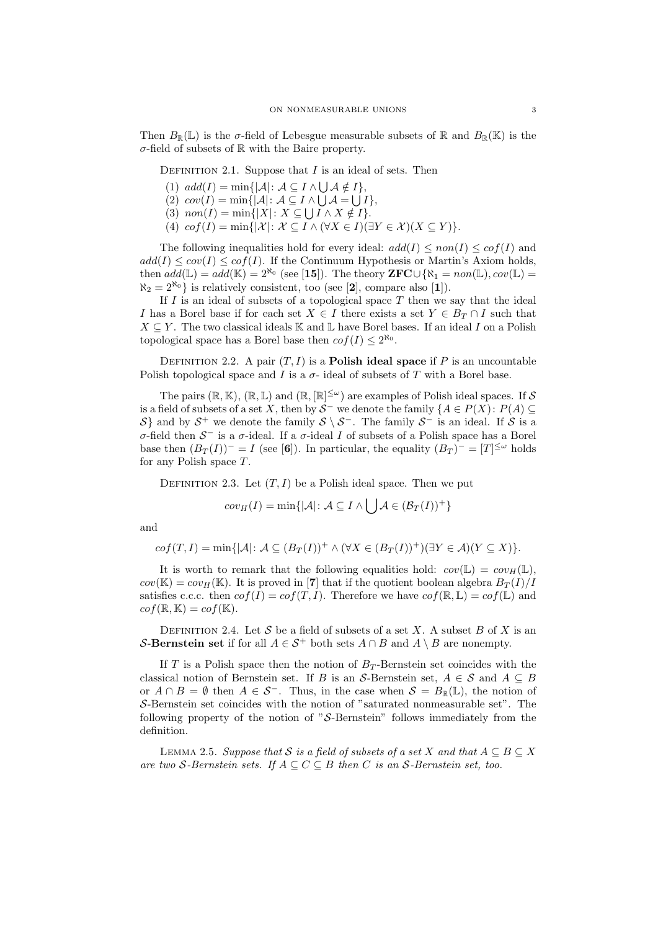Then  $B_{\mathbb{R}}(\mathbb{L})$  is the  $\sigma$ -field of Lebesgue measurable subsets of  $\mathbb{R}$  and  $B_{\mathbb{R}}(\mathbb{K})$  is the  $\sigma$ -field of subsets of  $\mathbb R$  with the Baire property.

DEFINITION 2.1. Suppose that  $I$  is an ideal of sets. Then

- (1)  $add(I) = min\{|\mathcal{A}|: \mathcal{A} \subseteq I \wedge \bigcup \mathcal{A} \notin I\},\$
- (2)  $cov(I) = min\{|\mathcal{A}|: \mathcal{A} \subseteq I \wedge \bigcup \mathcal{A} = \bigcup I\},\$
- (3)  $non(I) = min\{|X|: X \subseteq \bigcup I \wedge X \notin I\}.$
- (4)  $cof(I) = min\{|\mathcal{X}|: \mathcal{X} \subseteq I \wedge (\forall X \in I)(\exists Y \in \mathcal{X})(X \subseteq Y)\}.$

The following inequalities hold for every ideal:  $add(I) \leq non(I) \leq cof(I)$  and  $add(I) \leq cov(I) \leq cof(I)$ . If the Continuum Hypothesis or Martin's Axiom holds, then  $add(\mathbb{L}) = add(\mathbb{K}) = 2^{\aleph_0}$  (see [15]). The theory  $\mathbf{ZFC} \cup {\aleph_1} = non(\mathbb{L}), cov(\mathbb{L})$  $\aleph_2 = 2^{\aleph_0}$  is relatively consistent, too (see [2], compare also [1]).

If  $I$  is an ideal of subsets of a topological space  $T$  then we say that the ideal I has a Borel base if for each set  $X \in I$  there exists a set  $Y \in B_T \cap I$  such that  $X \subseteq Y$ . The two classical ideals K and L have Borel bases. If an ideal I on a Polish topological space has a Borel base then  $cof(I) \leq 2^{\aleph_0}$ .

DEFINITION 2.2. A pair  $(T, I)$  is a **Polish ideal space** if P is an uncountable Polish topological space and I is a  $\sigma$ - ideal of subsets of T with a Borel base.

The pairs  $(\mathbb{R}, \mathbb{K})$ ,  $(\mathbb{R}, \mathbb{L})$  and  $(\mathbb{R}, [\mathbb{R}]^{\leq \omega})$  are examples of Polish ideal spaces. If S is a field of subsets of a set X, then by  $S^-$  we denote the family  $\{A \in P(X) : P(A) \subseteq$ S} and by  $S^+$  we denote the family  $S \setminus S^-$ . The family  $S^-$  is an ideal. If S is a σ-field then  $S^-$  is a σ-ideal. If a σ-ideal I of subsets of a Polish space has a Borel base then  $(B_T(I))^- = I$  (see [6]). In particular, the equality  $(B_T)^- = [T]^{<\omega}$  holds for any Polish space T.

DEFINITION 2.3. Let  $(T, I)$  be a Polish ideal space. Then we put

$$
cov_H(I) = \min\{|\mathcal{A}| \colon \mathcal{A} \subseteq I \land \bigcup \mathcal{A} \in (\mathcal{B}_T(I))^+\}
$$

 $\mathbb{Z}^{\mathbb{Z}}$ 

and

$$
cof(T,I) = \min\{|\mathcal{A}| \colon \mathcal{A} \subseteq (B_T(I))^+ \land (\forall X \in (B_T(I))^+)(\exists Y \in \mathcal{A})(Y \subseteq X)\}.
$$

It is worth to remark that the following equalities hold:  $cov(\mathbb{L}) = cov_H(\mathbb{L}),$  $cov(\mathbb{K}) = cov_H(\mathbb{K})$ . It is proved in [7] that if the quotient boolean algebra  $B_T(I)/I$ satisfies c.c.c. then  $cof(I) = cof(T, I)$ . Therefore we have  $cof(\mathbb{R}, \mathbb{L}) = cof(\mathbb{L})$  and  $cof(\mathbb{R}, \mathbb{K}) = cof(\mathbb{K}).$ 

DEFINITION 2.4. Let S be a field of subsets of a set X. A subset B of X is an S-Bernstein set if for all  $A \in S^+$  both sets  $A \cap B$  and  $A \setminus B$  are nonempty.

If T is a Polish space then the notion of  $B_T$ -Bernstein set coincides with the classical notion of Bernstein set. If B is an S-Bernstein set,  $A \in \mathcal{S}$  and  $A \subseteq B$ or  $A \cap B = \emptyset$  then  $A \in S^-$ . Thus, in the case when  $S = B_{\mathbb{R}}(\mathbb{L})$ , the notion of S-Bernstein set coincides with the notion of "saturated nonmeasurable set". The following property of the notion of " $S$ -Bernstein" follows immediately from the definition.

LEMMA 2.5. Suppose that S is a field of subsets of a set X and that  $A \subseteq B \subseteq X$ are two S-Bernstein sets. If  $A \subseteq C \subseteq B$  then C is an S-Bernstein set, too.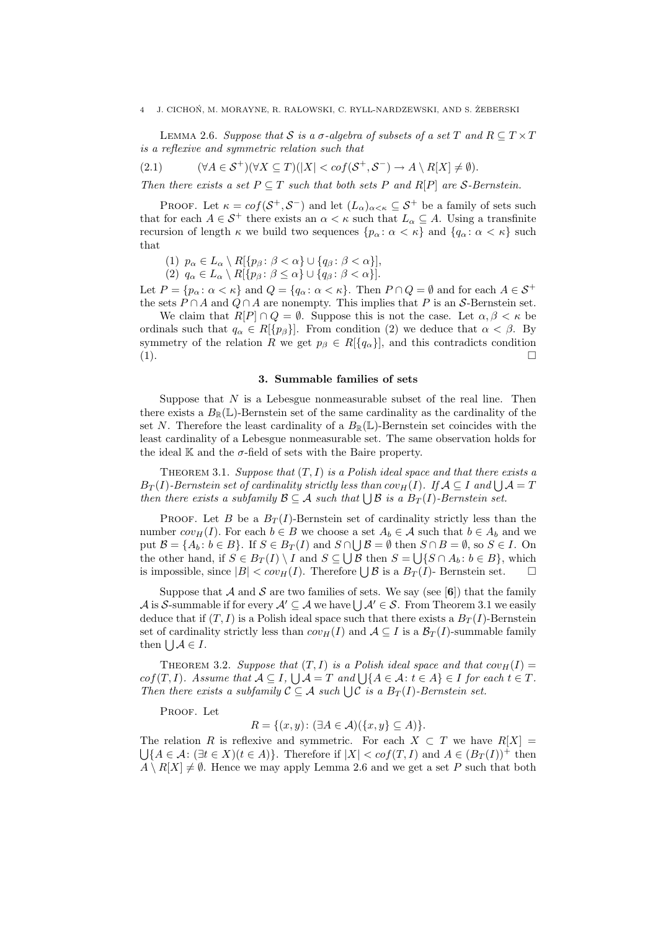#### J. CICHOŃ, M. MORAYNE, R. RAŁOWSKI, C. RYLL-NARDZEWSKI, AND S. ŻEBERSKI

LEMMA 2.6. Suppose that S is a  $\sigma$ -algebra of subsets of a set T and  $R \subseteq T \times T$ is a reflexive and symmetric relation such that

$$
(2.1) \qquad (\forall A \in \mathcal{S}^+) (\forall X \subseteq T) (|X| < cof(\mathcal{S}^+, \mathcal{S}^-) \to A \setminus R[X] \neq \emptyset).
$$

Then there exists a set  $P \subseteq T$  such that both sets P and R[P] are S-Bernstein.

PROOF. Let  $\kappa = cof(\mathcal{S}^+,\mathcal{S}^-)$  and let  $(L_{\alpha})_{\alpha<\kappa} \subseteq \mathcal{S}^+$  be a family of sets such that for each  $A \in \mathcal{S}^+$  there exists an  $\alpha < \kappa$  such that  $L_\alpha \subseteq A$ . Using a transfinite recursion of length  $\kappa$  we build two sequences  $\{p_\alpha : \alpha < \kappa\}$  and  $\{q_\alpha : \alpha < \kappa\}$  such that

(1)  $p_{\alpha} \in L_{\alpha} \setminus R[\{p_{\beta} : \beta < \alpha\} \cup \{q_{\beta} : \beta < \alpha\}],$ 

(2)  $q_{\alpha} \in L_{\alpha} \setminus R[\{p_{\beta} : \beta \leq \alpha\} \cup \{q_{\beta} : \beta < \alpha\}].$ 

Let  $P = \{p_{\alpha} : \alpha < \kappa\}$  and  $Q = \{q_{\alpha} : \alpha < \kappa\}$ . Then  $P \cap Q = \emptyset$  and for each  $A \in S^+$ the sets  $P \cap A$  and  $Q \cap A$  are nonempty. This implies that P is an S-Bernstein set.

We claim that  $R[P] \cap Q = \emptyset$ . Suppose this is not the case. Let  $\alpha, \beta < \kappa$  be ordinals such that  $q_{\alpha} \in R[\{p_{\beta}\}]$ . From condition (2) we deduce that  $\alpha < \beta$ . By symmetry of the relation R we get  $p_\beta \in R[\lbrace q_\alpha \rbrace]$ , and this contradicts condition (1).

# 3. Summable families of sets

Suppose that  $N$  is a Lebesgue nonmeasurable subset of the real line. Then there exists a  $B_{\mathbb{R}}(\mathbb{L})$ -Bernstein set of the same cardinality as the cardinality of the set N. Therefore the least cardinality of a  $B_{\mathbb{R}}(\mathbb{L})$ -Bernstein set coincides with the least cardinality of a Lebesgue nonmeasurable set. The same observation holds for the ideal  $\mathbb K$  and the  $\sigma$ -field of sets with the Baire property.

THEOREM 3.1. Suppose that  $(T, I)$  is a Polish ideal space and that there exists a  $B_T(I)$ -Bernstein set of cardinality strictly less than  $cov_H(I)$ . If  $\mathcal{A} \subseteq I$  and  $\bigcup \mathcal{A} = T$ then there exists a subfamily  $\mathcal{B} \subseteq \mathcal{A}$  such that  $\bigcup \mathcal{B}$  is a  $B_T(I)$ -Bernstein set.

PROOF. Let B be a  $B_T(I)$ -Bernstein set of cardinality strictly less than the number  $cov_H(I)$ . For each  $b \in B$  we choose a set  $A_b \in \mathcal{A}$  such that  $b \in A_b$  and we put  $\mathcal{B} = \{A_b : b \in B\}$ . If  $S \in B_T(I)$  and  $S \cap \bigcup \mathcal{B} = \emptyset$  then  $S \cap B = \emptyset$ , so  $S \in I$ . On the other hand, if  $S \in B_T(I) \setminus I$  and  $S \subseteq \bigcup \mathcal{B}$  then  $S = \bigcup \{S \cap A_b : b \in B\}$ , which is impossible, since  $|B| < cov_H(I)$ . Therefore  $\bigcup \mathcal{B}$  is a  $B_T(I)$ - Bernstein set.  $\square$ 

Suppose that A and S are two families of sets. We say (see [6]) that the family A is S-summable if for every  $\mathcal{A}' \subseteq \mathcal{A}$  we have  $\bigcup \mathcal{A}' \in \mathcal{S}$ . From Theorem 3.1 we easily deduce that if  $(T, I)$  is a Polish ideal space such that there exists a  $B_T(I)$ -Bernstein set of cardinality strictly less than  $cov_H(I)$  and  $A \subseteq I$  is a  $\mathcal{B}_T(I)$ -summable family then  $\bigcup \mathcal{A} \in I$ .

THEOREM 3.2. Suppose that  $(T, I)$  is a Polish ideal space and that  $cov_H(I) =$  $cof(T, I)$ . Assume that  $A \subseteq I$ ,  $\bigcup A = T$  and  $\bigcup \{A \in \mathcal{A} : t \in A\} \in I$  for each  $t \in T$ . Then there exists a subfamily  $C \subseteq A$  such  $\bigcup C$  is a  $B_T(I)$ -Bernstein set.

PROOF. Let

 $R = \{(x, y): (\exists A \in \mathcal{A})(\{x, y\} \subseteq A)\}.$ 

The relation R is reflexive and symmetric. For each  $X \subset T$  we have  $R[X] =$  $\bigcup \{A \in \mathcal{A} : (\exists t \in X)(t \in A)\}.$  Therefore if  $|X| < cof(T, I)$  and  $A \in (B_T(I))^+$  then  $A \setminus R[X] \neq \emptyset$ . Hence we may apply Lemma 2.6 and we get a set P such that both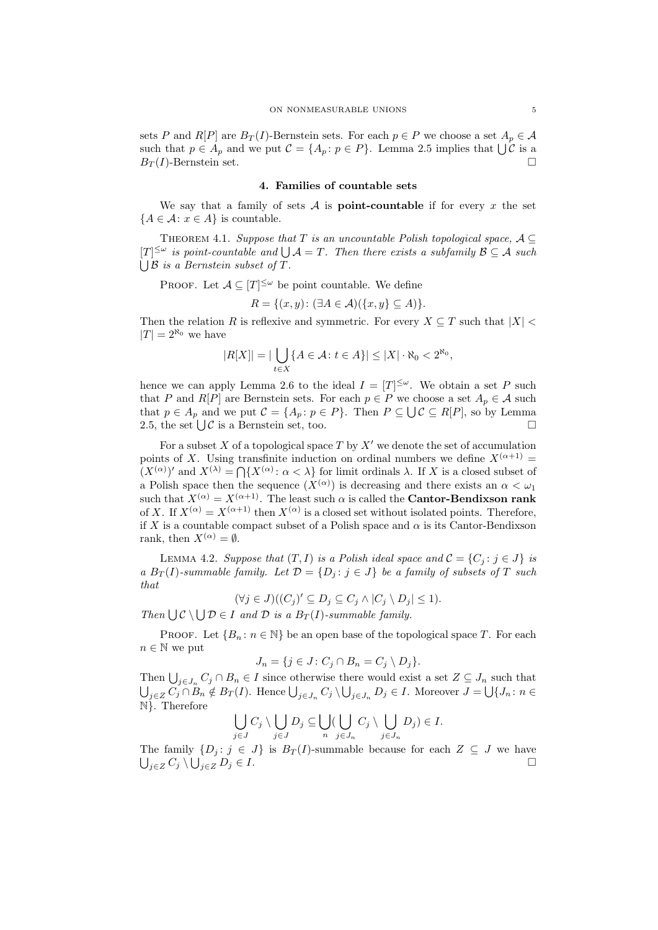sets P and R[P] are  $B_T(I)$ -Bernstein sets. For each  $p \in P$  we choose a set  $A_p \in \mathcal{A}$ such that  $p \in A_p$  and we put  $\mathcal{C} = \{A_p : p \in P\}$ . Lemma 2.5 implies that  $\bigcup \mathcal{C}$  is a  $B_T(I)$ -Bernstein set.

### 4. Families of countable sets

We say that a family of sets  $A$  is **point-countable** if for every x the set  ${A \in \mathcal{A} : x \in A}$  is countable.

THEOREM 4.1. Suppose that T is an uncountable Polish topological space,  $A \subseteq$  $[T]^{\leq \omega}$  is point-countable and  $\bigcup \mathcal{A} = T$ . Then there exists a subfamily  $\mathcal{B} \subseteq \mathcal{A}$  such  $\bigcup$  B is a Bernstein subset of T.

PROOF. Let  $\mathcal{A} \subseteq [T]^{\leq \omega}$  be point countable. We define

$$
R = \{(x, y) \colon (\exists A \in \mathcal{A}) (\{x, y\} \subseteq A)\}.
$$

Then the relation R is reflexive and symmetric. For every  $X \subseteq T$  such that  $|X|$  $|T| = 2^{\aleph_0}$  we have

$$
|R[X]| = |\bigcup_{t \in X} \{ A \in \mathcal{A} \colon t \in A \} | \le |X| \cdot \aleph_0 < 2^{\aleph_0},
$$

hence we can apply Lemma 2.6 to the ideal  $I = [T]^{\leq \omega}$ . We obtain a set P such that P and R[P] are Bernstein sets. For each  $p \in P$  we choose a set  $A_p \in \mathcal{A}$  such that  $p \in A_p$  and we put  $\mathcal{C} = \{A_p : p \in P\}$ . Then  $P \subseteq \bigcup \mathcal{C} \subseteq R[P]$ , so by Lemma 2.5, the set  $\bigcup \mathcal{C}$  is a Bernstein set, too.

For a subset X of a topological space  $T$  by  $X'$  we denote the set of accumulation points of X. Using transfinite induction on ordinal numbers we define  $X^{(\alpha+1)}$  =  $(X^{(\alpha)})'$  and  $X^{(\lambda)} = \bigcap \{X^{(\alpha)} : \alpha < \lambda\}$  for limit ordinals  $\lambda$ . If X is a closed subset of a Polish space then the sequence  $(X^{(\alpha)})$  is decreasing and there exists an  $\alpha < \omega_1$ such that  $X^{(\alpha)} = X^{(\alpha+1)}$ . The least such  $\alpha$  is called the **Cantor-Bendixson rank** of X. If  $X^{(\alpha)} = X^{(\alpha+1)}$  then  $X^{(\alpha)}$  is a closed set without isolated points. Therefore, if X is a countable compact subset of a Polish space and  $\alpha$  is its Cantor-Bendixson rank, then  $X^{(\alpha)} = \emptyset$ .

LEMMA 4.2. Suppose that  $(T, I)$  is a Polish ideal space and  $\mathcal{C} = \{C_i : j \in J\}$  is a  $B_T(I)$ -summable family. Let  $\mathcal{D} = \{D_j : j \in J\}$  be a family of subsets of T such that

$$
(\forall j \in J)((C_j)' \subseteq D_j \subseteq C_j \wedge |C_j \setminus D_j| \le 1).
$$

Then  $\bigcup \mathcal{C} \setminus \bigcup \mathcal{D} \in I$  and  $\mathcal{D}$  is a  $B_T(I)$ -summable family.

**PROOF.** Let  ${B_n : n \in \mathbb{N}}$  be an open base of the topological space T. For each  $n \in \mathbb{N}$  we put

$$
J_n = \{ j \in J : C_j \cap B_n = C_j \setminus D_j \}.
$$

Then  $\bigcup_{j\in J_n} C_j \cap B_n \in I$  since otherwise there would exist a set  $Z \subseteq J_n$  such that  $\bigcup_{j\in Z}C_j\cap B_n\notin B_T(I)$ . Hence  $\bigcup_{j\in J_n}C_j\setminus\bigcup_{j\in J_n}D_j\in I$ . Moreover  $J=\bigcup\{J_n\colon n\in J\}$ N}. Therefore

$$
\bigcup_{j\in J} C_j \setminus \bigcup_{j\in J} D_j \subseteq \bigcup_{n} \left( \bigcup_{j\in J_n} C_j \setminus \bigcup_{j\in J_n} D_j \right) \in I.
$$

The family  $\{D_i : j \in J\}$  is  $B_T(I)$ -summable because for each  $Z \subseteq J$  we have  $\bigcup_{j\in Z} C_j \setminus \bigcup_{j\in Z} D_j \in I.$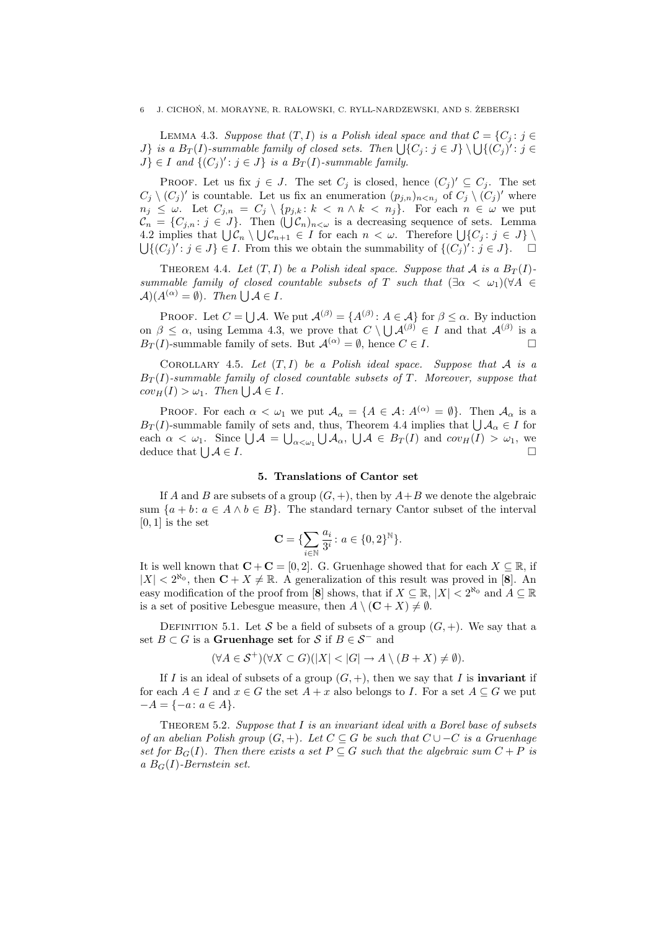LEMMA 4.3. Suppose that  $(T, I)$  is a Polish ideal space and that  $C = \{C_i : j \in I\}$ *J*} is a  $B_T(I)$ -summable family of closed sets. Then  $\bigcup \{C_j : j \in J\} \setminus \bigcup \{(C_j)^{'} : j \in J\}$  $J\} \in I$  and  $\{(C_j)': j \in J\}$  is a  $B_T(I)$ -summable family.

PROOF. Let us fix  $j \in J$ . The set  $C_j$  is closed, hence  $(C_j)' \subseteq C_j$ . The set  $C_j \setminus (C_j)'$  is countable. Let us fix an enumeration  $(p_{j,n})_{n \leq n_j}$  of  $C_j \setminus (C_j)'$  where  $n_j \leq \omega$ . Let  $C_{j,n} = C_j \setminus \{p_{j,k} : k < n \wedge k < n_j\}$ . For each  $n \in \omega$  we put  $\mathcal{C}_n = \{C_{j,n}: j \in J\}$ . Then  $(\bigcup \mathcal{C}_n)_{n \leq \omega}$  is a decreasing sequence of sets. Lemma 4.2 implies that  $\bigcup \mathcal{C}_n \setminus \bigcup \mathcal{C}_{n+1} \in I$  for each  $n < \omega$ . Therefore  $\bigcup \{C_j : j \in J\} \setminus I$  $\bigcup \{(C_j)^i : j \in J\} \in I$ . From this we obtain the summability of  $\{(C_j)^i : j \in J\}$ .

THEOREM 4.4. Let  $(T, I)$  be a Polish ideal space. Suppose that A is a  $B_T(I)$ summable family of closed countable subsets of T such that  $(\exists \alpha < \omega_1)(\forall A \in$  $\mathcal{A}(A^{(\alpha)} = \emptyset)$ . Then  $\bigcup \mathcal{A} \in I$ .

PROOF. Let  $C = \bigcup A$ . We put  $\mathcal{A}^{(\beta)} = \{A^{(\beta)} : A \in \mathcal{A}\}$  for  $\beta \leq \alpha$ . By induction on  $\beta \leq \alpha$ , using Lemma 4.3, we prove that  $C \setminus \bigcup_{\beta} A^{(\beta)} \in I$  and that  $A^{(\beta)}$  is a  $B_T(I)$ -summable family of sets. But  $\mathcal{A}^{(\alpha)} = \emptyset$ , hence  $C \in I$ .

COROLLARY 4.5. Let  $(T, I)$  be a Polish ideal space. Suppose that A is a  $B_T(I)$ -summable family of closed countable subsets of T. Moreover, suppose that  $cov_H(I) > \omega_1$ . Then  $\bigcup \mathcal{A} \in I$ .

PROOF. For each  $\alpha < \omega_1$  we put  $\mathcal{A}_{\alpha} = \{A \in \mathcal{A} : A^{(\alpha)} = \emptyset\}$ . Then  $\mathcal{A}_{\alpha}$  is a  $B_T(I)$ -summable family of sets and, thus, Theorem 4.4 implies that  $\bigcup A_\alpha \in I$  for each  $\alpha < \omega_1$ . Since  $\bigcup \mathcal{A} = \bigcup_{\alpha < \omega_1} \bigcup \mathcal{A}_\alpha$ ,  $\bigcup \mathcal{A} \in B_T(I)$  and  $cov_H(I) > \omega_1$ , we deduce that  $\bigcup \mathcal{A} \in I$ .  $A \in I$ .

## 5. Translations of Cantor set

If A and B are subsets of a group  $(G, +)$ , then by  $A + B$  we denote the algebraic sum  $\{a + b : a \in A \land b \in B\}$ . The standard ternary Cantor subset of the interval  $[0, 1]$  is the set

$$
\mathbf{C} = \{\sum_{i\in\mathbb{N}}\frac{a_i}{3^i}\colon a\in\{0,2\}^\mathbb{N}\}.
$$

It is well known that  $C + C = [0, 2]$ . G. Gruenhage showed that for each  $X \subseteq \mathbb{R}$ , if  $|X| < 2^{\aleph_0}$ , then  $\mathbf{C} + X \neq \mathbb{R}$ . A generalization of this result was proved in [8]. An easy modification of the proof from [8] shows, that if  $X \subseteq \mathbb{R}$ ,  $|X| < 2^{\aleph_0}$  and  $A \subseteq \mathbb{R}$ is a set of positive Lebesgue measure, then  $A \setminus (\mathbf{C} + X) \neq \emptyset$ .

DEFINITION 5.1. Let S be a field of subsets of a group  $(G, +)$ . We say that a set  $B \subset G$  is a Gruenhage set for S if  $B \in S^-$  and

$$
(\forall A \in \mathcal{S}^+)(\forall X \subset G)(|X| < |G| \to A \setminus (B + X) \neq \emptyset).
$$

If I is an ideal of subsets of a group  $(G, +)$ , then we say that I is **invariant** if for each  $A \in I$  and  $x \in G$  the set  $A + x$  also belongs to I. For a set  $A \subseteq G$  we put  $-A = \{-a : a \in A\}.$ 

THEOREM 5.2. Suppose that  $I$  is an invariant ideal with a Borel base of subsets of an abelian Polish group  $(G, +)$ . Let  $C \subseteq G$  be such that  $C \cup -C$  is a Gruenhage set for  $B_G(I)$ . Then there exists a set  $P \subseteq G$  such that the algebraic sum  $C + P$  is a  $B_G(I)$ -Bernstein set.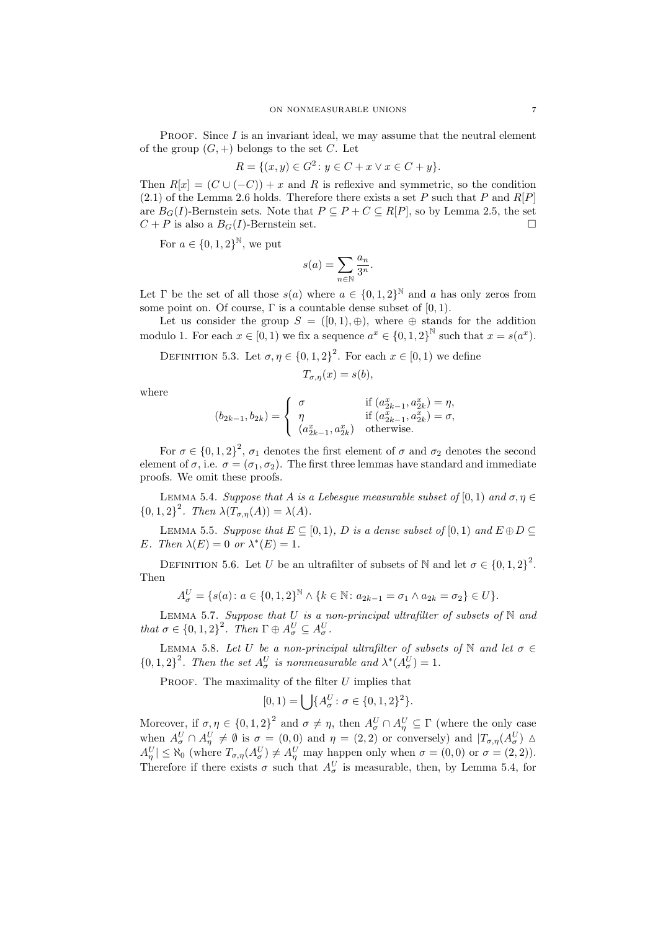**PROOF.** Since  $I$  is an invariant ideal, we may assume that the neutral element of the group  $(G, +)$  belongs to the set C. Let

$$
R = \{(x, y) \in G^2 \colon y \in C + x \lor x \in C + y\}.
$$

Then  $R[x] = (C \cup (-C)) + x$  and R is reflexive and symmetric, so the condition  $(2.1)$  of the Lemma 2.6 holds. Therefore there exists a set P such that P and  $R[P]$ are  $B_G(I)$ -Bernstein sets. Note that  $P \subseteq P + C \subseteq R[P]$ , so by Lemma 2.5, the set  $C + P$  is also a  $B_G(I)$ -Bernstein set.

For  $a \in \{0, 1, 2\}^{\mathbb{N}}$ , we put

$$
s(a) = \sum_{n \in \mathbb{N}} \frac{a_n}{3^n}.
$$

Let  $\Gamma$  be the set of all those  $s(a)$  where  $a \in \{0,1,2\}^{\mathbb{N}}$  and a has only zeros from some point on. Of course,  $\Gamma$  is a countable dense subset of  $[0, 1)$ .

Let us consider the group  $S = ([0,1), \oplus)$ , where  $\oplus$  stands for the addition modulo 1. For each  $x \in [0, 1)$  we fix a sequence  $a^x \in \{0, 1, 2\}^{\mathbb{N}}$  such that  $x = s(a^x)$ .

DEFINITION 5.3. Let  $\sigma, \eta \in \{0, 1, 2\}^2$ . For each  $x \in [0, 1)$  we define

$$
T_{\sigma,\eta}(x) = s(b),
$$

where

$$
(b_{2k-1}, b_{2k}) = \begin{cases} \sigma & \text{if } (a_{2k-1}^x, a_{2k}^x) = \eta, \\ \eta & \text{if } (a_{2k-1}^x, a_{2k}^x) = \sigma, \\ (a_{2k-1}^x, a_{2k}^x) & \text{otherwise.} \end{cases}
$$

For  $\sigma \in \{0,1,2\}^2$ ,  $\sigma_1$  denotes the first element of  $\sigma$  and  $\sigma_2$  denotes the second element of  $\sigma$ , i.e.  $\sigma = (\sigma_1, \sigma_2)$ . The first three lemmas have standard and immediate proofs. We omit these proofs.

LEMMA 5.4. Suppose that A is a Lebesque measurable subset of [0, 1) and  $\sigma, \eta \in$  ${0, 1, 2}^2$ . Then  $\lambda(T_{\sigma, \eta}(A)) = \lambda(A)$ .

LEMMA 5.5. Suppose that  $E \subseteq [0, 1)$ , D is a dense subset of  $[0, 1)$  and  $E \oplus D \subseteq$ E. Then  $\lambda(E) = 0$  or  $\lambda^*(E) = 1$ .

DEFINITION 5.6. Let U be an ultrafilter of subsets of N and let  $\sigma \in \{0, 1, 2\}^2$ . Then

$$
A_{\sigma}^{U} = \{s(a) : a \in \{0, 1, 2\}^{\mathbb{N}} \wedge \{k \in \mathbb{N} : a_{2k-1} = \sigma_1 \wedge a_{2k} = \sigma_2\} \in U\}.
$$

LEMMA 5.7. Suppose that U is a non-principal ultrafilter of subsets of  $\mathbb N$  and that  $\sigma \in \{0,1,2\}^2$ . Then  $\Gamma \oplus A_{\sigma}^U \subseteq A_{\sigma}^U$ .

LEMMA 5.8. Let U be a non-principal ultrafilter of subsets of N and let  $\sigma \in$  ${0,1,2}^2$ . Then the set  $A^U_\sigma$  is nonmeasurable and  $\lambda^*(A^U_\sigma) = 1$ .

PROOF. The maximality of the filter  $U$  implies that

$$
[0,1) = \bigcup \{ A_{\sigma}^{U} \colon \sigma \in \{0,1,2\}^2 \}.
$$

Moreover, if  $\sigma, \eta \in \{0, 1, 2\}^2$  and  $\sigma \neq \eta$ , then  $A^U_{\sigma} \cap A^U_{\eta} \subseteq \Gamma$  (where the only case when  $A^U_\sigma \cap A^U_\eta \neq \emptyset$  is  $\sigma = (0,0)$  and  $\eta = (2,2)$  or conversely) and  $|T_{\sigma,\eta}(A^U_\sigma)| \Delta$  $A_{\eta}^{U} \leq \aleph_0$  (where  $T_{\sigma,\eta}(A_{\sigma}^{U}) \neq A_{\eta}^{U}$  may happen only when  $\sigma = (0,0)$  or  $\sigma = (2,2)$ ). Therefore if there exists  $\sigma$  such that  $A^U_{\sigma}$  is measurable, then, by Lemma 5.4, for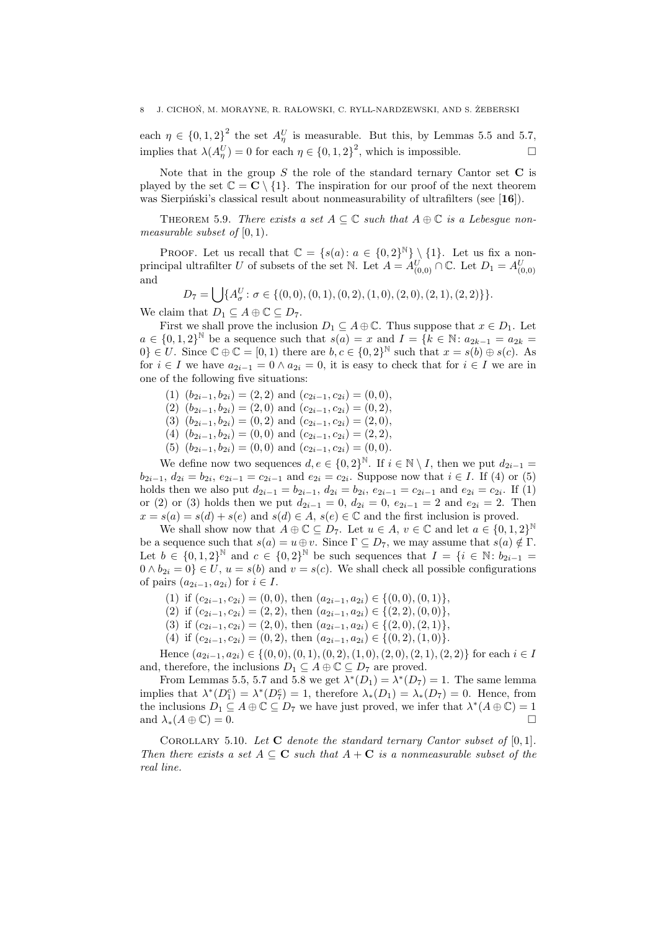each  $\eta \in \{0,1,2\}^2$  the set  $A_{\eta}^U$  is measurable. But this, by Lemmas 5.5 and 5.7, implies that  $\lambda(A_{\eta}^{U}) = 0$  for each  $\eta \in \{0, 1, 2\}^2$ , which is impossible.

Note that in the group  $S$  the role of the standard ternary Cantor set  $C$  is played by the set  $\mathbb{C} = \mathbb{C} \setminus \{1\}$ . The inspiration for our proof of the next theorem was Sierpiński's classical result about nonmeasurability of ultrafilters (see [16]).

THEOREM 5.9. There exists a set  $A \subseteq \mathbb{C}$  such that  $A \oplus \mathbb{C}$  is a Lebesgue nonmeasurable subset of  $[0, 1)$ .

PROOF. Let us recall that  $\mathbb{C} = \{s(a): a \in \{0,2\}^{\mathbb{N}}\} \setminus \{1\}$ . Let us fix a nonprincipal ultrafilter U of subsets of the set N. Let  $A = A_{(0,0)}^U \cap \mathbb{C}$ . Let  $D_1 = A_{(0,0)}^U$ and

$$
D_7 = \bigcup \{ A^U_\sigma : \sigma \in \{ (0,0), (0,1), (0,2), (1,0), (2,0), (2,1), (2,2) \} \}.
$$

We claim that  $D_1 \subseteq A \oplus \mathbb{C} \subseteq D_7$ .

First we shall prove the inclusion  $D_1 \subseteq A \oplus \mathbb{C}$ . Thus suppose that  $x \in D_1$ . Let  $a \in \{0,1,2\}^{\mathbb{N}}$  be a sequence such that  $s(a) = x$  and  $I = \{k \in \mathbb{N} : a_{2k-1} = a_{2k} = a_{2k}\}$  $0\} \in U$ . Since  $\mathbb{C} \oplus \mathbb{C} = [0,1)$  there are  $b, c \in \{0,2\}^{\mathbb{N}}$  such that  $x = s(b) \oplus s(c)$ . As for  $i \in I$  we have  $a_{2i-1} = 0 \wedge a_{2i} = 0$ , it is easy to check that for  $i \in I$  we are in one of the following five situations:

- (1)  $(b_{2i-1}, b_{2i}) = (2, 2)$  and  $(c_{2i-1}, c_{2i}) = (0, 0),$
- (2)  $(b_{2i-1}, b_{2i}) = (2, 0)$  and  $(c_{2i-1}, c_{2i}) = (0, 2)$ ,
- (3)  $(b_{2i-1}, b_{2i}) = (0, 2)$  and  $(c_{2i-1}, c_{2i}) = (2, 0)$ ,
- (4)  $(b_{2i-1}, b_{2i}) = (0, 0)$  and  $(c_{2i-1}, c_{2i}) = (2, 2)$ ,
- (5)  $(b_{2i-1}, b_{2i}) = (0, 0)$  and  $(c_{2i-1}, c_{2i}) = (0, 0)$ .

We define now two sequences  $d, e \in \{0, 2\}^{\mathbb{N}}$ . If  $i \in \mathbb{N} \setminus I$ , then we put  $d_{2i-1} =$  $b_{2i-1}, d_{2i} = b_{2i}, e_{2i-1} = c_{2i-1}$  and  $e_{2i} = c_{2i}$ . Suppose now that  $i \in I$ . If (4) or (5) holds then we also put  $d_{2i-1} = b_{2i-1}$ ,  $d_{2i} = b_{2i}$ ,  $e_{2i-1} = c_{2i-1}$  and  $e_{2i} = c_{2i}$ . If (1) or (2) or (3) holds then we put  $d_{2i-1} = 0$ ,  $d_{2i} = 0$ ,  $e_{2i-1} = 2$  and  $e_{2i} = 2$ . Then  $x = s(a) = s(d) + s(e)$  and  $s(d) \in A$ ,  $s(e) \in \mathbb{C}$  and the first inclusion is proved.

We shall show now that  $A \oplus \mathbb{C} \subseteq D_7$ . Let  $u \in A$ ,  $v \in \mathbb{C}$  and let  $a \in \{0,1,2\}^{\mathbb{N}}$ be a sequence such that  $s(a) = u \oplus v$ . Since  $\Gamma \subseteq D_7$ , we may assume that  $s(a) \notin \Gamma$ . Let  $b \in \{0,1,2\}^{\mathbb{N}}$  and  $c \in \{0,2\}^{\mathbb{N}}$  be such sequences that  $I = \{i \in \mathbb{N} : b_{2i-1} =$  $0 \wedge b_{2i} = 0$   $\in U$ ,  $u = s(b)$  and  $v = s(c)$ . We shall check all possible configurations of pairs  $(a_{2i-1}, a_{2i})$  for  $i \in I$ .

- (1) if  $(c_{2i-1}, c_{2i}) = (0, 0)$ , then  $(a_{2i-1}, a_{2i}) \in \{(0, 0), (0, 1)\},$
- (2) if  $(c_{2i-1}, c_{2i}) = (2, 2)$ , then  $(a_{2i-1}, a_{2i}) \in \{(2, 2), (0, 0)\},$
- (3) if  $(c_{2i-1}, c_{2i}) = (2, 0)$ , then  $(a_{2i-1}, a_{2i}) \in \{(2, 0), (2, 1)\},$
- (4) if  $(c_{2i-1}, c_{2i}) = (0, 2)$ , then  $(a_{2i-1}, a_{2i}) \in \{(0, 2), (1, 0)\}.$

Hence  $(a_{2i-1}, a_{2i}) \in \{(0, 0), (0, 1), (0, 2), (1, 0), (2, 0), (2, 1), (2, 2)\}$  for each  $i \in I$ and, therefore, the inclusions  $D_1 \subseteq A \oplus \mathbb{C} \subseteq D_7$  are proved.

From Lemmas 5.5, 5.7 and 5.8 we get  $\lambda^*(D_1) = \lambda^*(D_7) = 1$ . The same lemma implies that  $\lambda^*(D_1^c) = \lambda^*(D_7^c) = 1$ , therefore  $\lambda_*(D_1) = \lambda_*(D_7) = 0$ . Hence, from the inclusions  $D_1 \subseteq A \oplus \mathbb{C} \subseteq D_7$  we have just proved, we infer that  $\lambda^*(A \oplus \mathbb{C}) = 1$ and  $\lambda_*(A \oplus \mathbb{C}) = 0.$ 

COROLLARY 5.10. Let  $C$  denote the standard ternary Cantor subset of  $[0, 1]$ . Then there exists a set  $A \subseteq \mathbf{C}$  such that  $A + \mathbf{C}$  is a nonmeasurable subset of the real line.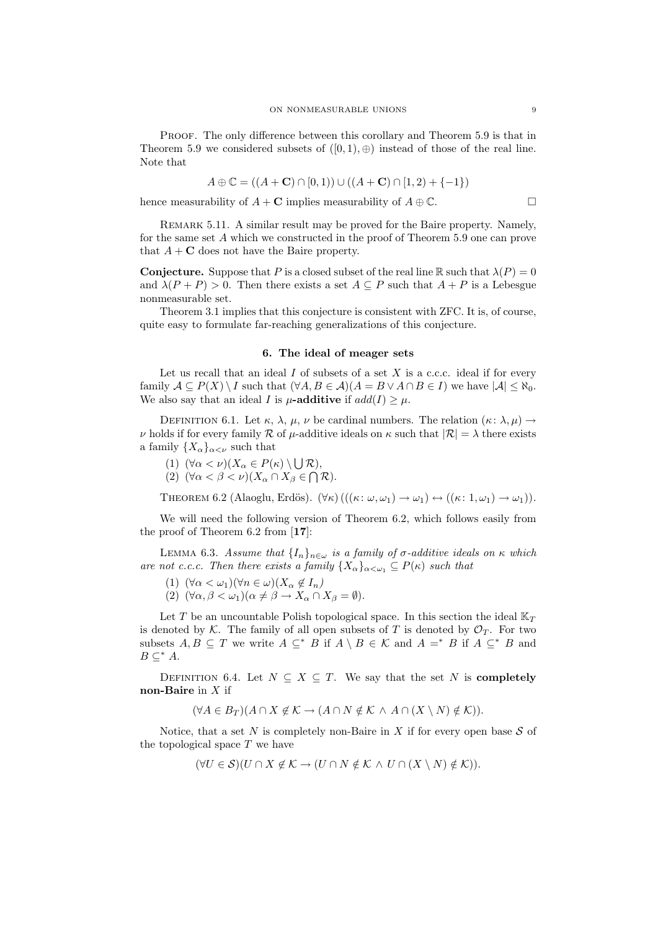PROOF. The only difference between this corollary and Theorem 5.9 is that in Theorem 5.9 we considered subsets of  $([0, 1), \oplus)$  instead of those of the real line. Note that

$$
A \oplus \mathbb{C} = ((A + \mathbf{C}) \cap [0, 1)) \cup ((A + \mathbf{C}) \cap [1, 2) + \{-1\})
$$

hence measurability of  $A + \mathbf{C}$  implies measurability of  $A \oplus \mathbb{C}$ .

Remark 5.11. A similar result may be proved for the Baire property. Namely, for the same set A which we constructed in the proof of Theorem 5.9 one can prove that  $A + C$  does not have the Baire property.

**Conjecture.** Suppose that P is a closed subset of the real line R such that  $\lambda(P) = 0$ and  $\lambda(P + P) > 0$ . Then there exists a set  $A \subseteq P$  such that  $A + P$  is a Lebesgue nonmeasurable set.

Theorem 3.1 implies that this conjecture is consistent with ZFC. It is, of course, quite easy to formulate far-reaching generalizations of this conjecture.

### 6. The ideal of meager sets

Let us recall that an ideal  $I$  of subsets of a set  $X$  is a c.c.c. ideal if for every family  $A \subseteq P(X) \setminus I$  such that  $(\forall A, B \in A)(A = B \vee A \cap B \in I)$  we have  $|A| \leq \aleph_0$ . We also say that an ideal I is  $\mu$ -additive if  $add(I) \geq \mu$ .

DEFINITION 6.1. Let  $\kappa$ ,  $\lambda$ ,  $\mu$ ,  $\nu$  be cardinal numbers. The relation  $(\kappa : \lambda, \mu) \rightarrow$  $\nu$  holds if for every family  $\mathcal R$  of  $\mu$ -additive ideals on  $\kappa$  such that  $|\mathcal R| = \lambda$  there exists a family  $\{X_{\alpha}\}_{{\alpha}<\nu}$  such that

(1)  $(\forall \alpha < \nu)(X_{\alpha} \in P(\kappa) \setminus \bigcup \mathcal{R}),$ 

(2)  $(\forall \alpha < \beta < \nu)(X_{\alpha} \cap X_{\beta} \in \bigcap \mathcal{R}).$ 

THEOREM 6.2 (Alaoglu, Erdös).  $(\forall \kappa)$  ( $((\kappa: \omega, \omega_1) \rightarrow \omega_1) \leftrightarrow ((\kappa: 1, \omega_1) \rightarrow \omega_1)$ ).

We will need the following version of Theorem 6.2, which follows easily from the proof of Theorem 6.2 from [17]:

LEMMA 6.3. Assume that  $\{I_n\}_{n\in\omega}$  is a family of  $\sigma$ -additive ideals on  $\kappa$  which are not c.c.c. Then there exists a family  $\{X_{\alpha}\}_{{\alpha<\omega_1}}\subseteq P(\kappa)$  such that

(1)  $(\forall \alpha < \omega_1)(\forall n \in \omega)(X_\alpha \notin I_n)$ 

(2)  $(\forall \alpha, \beta < \omega_1)(\alpha \neq \beta \rightarrow X_\alpha \cap X_\beta = \emptyset).$ 

Let T be an uncountable Polish topological space. In this section the ideal  $\mathbb{K}_T$ is denoted by K. The family of all open subsets of T is denoted by  $\mathcal{O}_T$ . For two subsets  $A, B \subseteq T$  we write  $A \subseteq^* B$  if  $A \setminus B \in \mathcal{K}$  and  $A =^* B$  if  $A \subseteq^* B$  and  $B \subseteq^* A$ .

DEFINITION 6.4. Let  $N \subseteq X \subseteq T$ . We say that the set N is **completely** non-Baire in  $X$  if

 $(\forall A \in B_T) (A \cap X \notin \mathcal{K} \to (A \cap N \notin \mathcal{K} \land A \cap (X \setminus N) \notin \mathcal{K})).$ 

Notice, that a set N is completely non-Baire in X if for every open base  $S$  of the topological space  $T$  we have

 $(\forall U \in \mathcal{S})(U \cap X \notin \mathcal{K} \to (U \cap N \notin \mathcal{K} \wedge U \cap (X \setminus N) \notin \mathcal{K})).$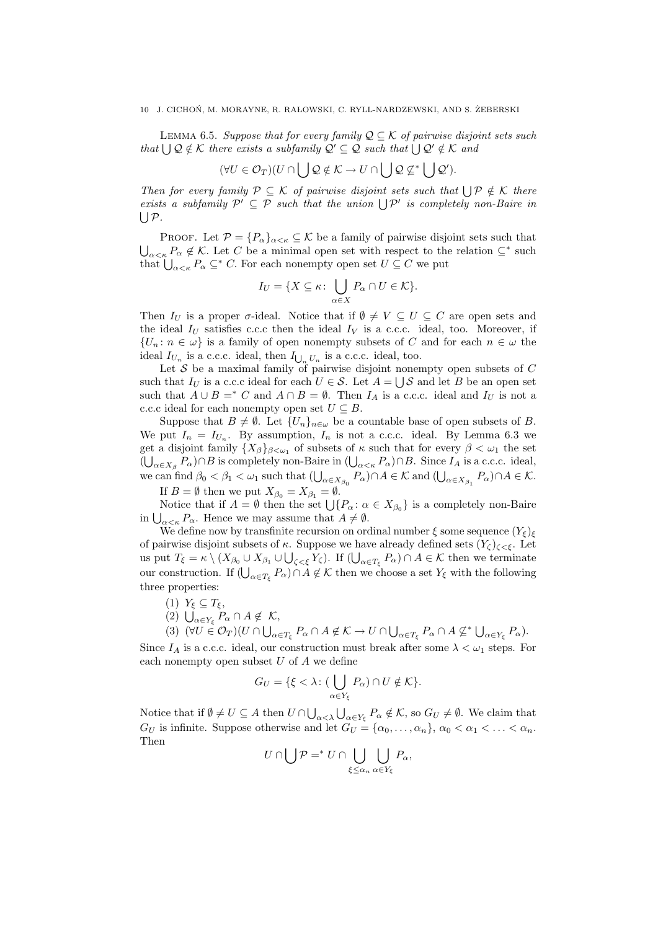#### 10 J. CICHOŃ, M. MORAYNE, R. RAŁOWSKI, C. RYLL-NARDZEWSKI, AND S. ŻEBERSKI

LEMMA 6.5. Suppose that for every family  $\mathcal{Q} \subseteq \mathcal{K}$  of pairwise disjoint sets such that  $\bigcup Q \notin \mathcal{K}$  there exists a subfamily  $\mathcal{Q}' \subseteq \mathcal{Q}$  such that  $\bigcup \mathcal{Q}' \notin \mathcal{K}$  and

$$
(\forall U \in \mathcal{O}_T)(U \cap \bigcup \mathcal{Q} \notin \mathcal{K} \to U \cap \bigcup \mathcal{Q} \not\subseteq^* \bigcup \mathcal{Q}').
$$

Then for every family  $P \subseteq K$  of pairwise disjoint sets such that  $\bigcup P \notin K$  there exists a subfamily  $\mathcal{P}' \subseteq \mathcal{P}$  such that the union  $\bigcup \mathcal{P}'$  is completely non-Baire in  $\bigcup \mathcal{P}.$ 

PROOF. Let  $\mathcal{P} = \{P_{\alpha}\}_{{\alpha} \leq \kappa} \subseteq \mathcal{K}$  be a family of pairwise disjoint sets such that  $\bigcup_{\alpha<\kappa}P_{\alpha}\notin\mathcal{K}$ . Let C be a minimal open set with respect to the relation  $\subseteq^*$  such that  $\bigcup_{\alpha<\kappa}P_{\alpha}\subseteq^* C$ . For each nonempty open set  $U\subseteq C$  we put

$$
I_U = \{ X \subseteq \kappa \colon \bigcup_{\alpha \in X} P_\alpha \cap U \in \mathcal{K} \}.
$$

Then  $I_U$  is a proper  $\sigma$ -ideal. Notice that if  $\emptyset \neq V \subseteq U \subseteq C$  are open sets and the ideal  $I_U$  satisfies c.c.c then the ideal  $I_V$  is a c.c.c. ideal, too. Moreover, if  $\{U_n: n \in \omega\}$  is a family of open nonempty subsets of C and for each  $n \in \omega$  the ideal  $I_{U_n}$  is a c.c.c. ideal, then  $I_{\bigcup_n U_n}$  is a c.c.c. ideal, too.

Let  $S$  be a maximal family of pairwise disjoint nonempty open subsets of  $C$ such that  $I_U$  is a c.c.c ideal for each  $U \in \mathcal{S}$ . Let  $A = \bigcup \mathcal{S}$  and let B be an open set such that  $A \cup B =^* C$  and  $A \cap B = \emptyset$ . Then  $I_A$  is a c.c.c. ideal and  $I_U$  is not a c.c.c ideal for each nonempty open set  $U \subseteq B$ .

Suppose that  $B \neq \emptyset$ . Let  $\{U_n\}_{n \in \omega}$  be a countable base of open subsets of B. We put  $I_n = I_{U_n}$ . By assumption,  $I_n$  is not a c.c.c. ideal. By Lemma 6.3 we get a disjoint family  $\{X_\beta\}_{\beta<\omega_1}$  of subsets of  $\kappa$  such that for every  $\beta<\omega_1$  the set  $(\bigcup_{\alpha \in X_{\beta}} P_{\alpha}) \cap B$  is completely non-Baire in  $(\bigcup_{\alpha < \kappa} P_{\alpha}) \cap B$ . Since  $I_A$  is a c.c.c. ideal, we can find  $\beta_0 < \beta_1 < \omega_1$  such that  $(\bigcup_{\alpha \in X_{\beta_0}} P_{\alpha}) \cap A \in \mathcal{K}$  and  $(\bigcup_{\alpha \in X_{\beta_1}} P_{\alpha}) \cap A \in \mathcal{K}$ .

If  $B = \emptyset$  then we put  $X_{\beta_0} = X_{\beta_1} = \emptyset$ .

Notice that if  $A = \emptyset$  then the set  $\bigcup \{P_{\alpha} : \alpha \in X_{\beta_0}\}\$  is a completely non-Baire in  $\bigcup_{\alpha<\kappa} P_{\alpha}$ . Hence we may assume that  $A\neq\emptyset$ .

We define now by transfinite recursion on ordinal number  $\xi$  some sequence  $(Y_{\xi})_{\xi}$ of pairwise disjoint subsets of  $\kappa$ . Suppose we have already defined sets  $(Y_{\zeta})_{\zeta < \xi}$ . Let us put  $T_{\xi} = \kappa \setminus (X_{\beta_0} \cup X_{\beta_1} \cup \bigcup_{\zeta < \xi} Y_{\zeta})$ . If  $(\bigcup_{\alpha \in T_{\xi}} P_{\alpha}) \cap A \in \mathcal{K}$  then we terminate our construction. If  $(\bigcup_{\alpha \in T_{\xi}} P_{\alpha}) \cap A \notin \mathcal{K}$  then we choose a set  $Y_{\xi}$  with the following three properties:

- (1)  $Y_{\xi} \subseteq T_{\xi}$ ,
- (2)  $\bigcup_{\alpha \in Y_{\xi}} P_{\alpha} \cap A \notin \mathcal{K}$ ,
- (3)  $(\forall U \in \mathcal{O}_T)(U \cap \bigcup_{\alpha \in T_{\xi}} P_{\alpha} \cap A \notin \mathcal{K} \to U \cap \bigcup_{\alpha \in T_{\xi}} P_{\alpha} \cap A \nsubseteq^* \bigcup_{\alpha \in Y_{\xi}} P_{\alpha}).$

Since  $I_A$  is a c.c.c. ideal, our construction must break after some  $\lambda < \omega_1$  steps. For each nonempty open subset  $U$  of  $A$  we define

$$
G_U = \{ \xi < \lambda \colon \left( \bigcup_{\alpha \in Y_{\xi}} P_{\alpha} \right) \cap U \notin \mathcal{K} \}.
$$

Notice that if  $\emptyset \neq U \subseteq A$  then  $U \cap \bigcup_{\alpha < \lambda} \bigcup_{\alpha \in Y_{\xi}} P_{\alpha} \notin \mathcal{K}$ , so  $G_U \neq \emptyset$ . We claim that  $G_U$  is infinite. Suppose otherwise and let  $G_U = {\alpha_0, \ldots, \alpha_n}, \alpha_0 < \alpha_1 < \ldots < \alpha_n$ . Then

$$
U\cap\bigcup\mathcal{P}={^*}\,U\cap\bigcup_{\xi\leq\alpha_n}\bigcup_{\alpha\in Y_{\xi}}P_{\alpha},
$$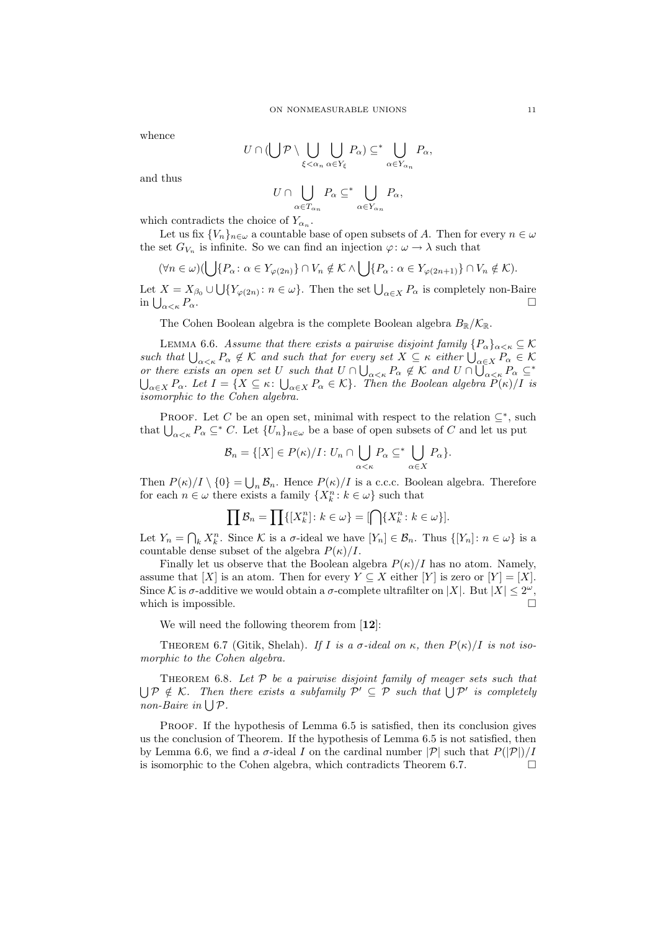whence

$$
U \cap (\bigcup \mathcal{P} \setminus \bigcup_{\xi < \alpha_n} \bigcup_{\alpha \in Y_{\xi}} P_{\alpha}) \subseteq^* \bigcup_{\alpha \in Y_{\alpha_n}} P_{\alpha},
$$

and thus

$$
U \cap \bigcup_{\alpha \in T_{\alpha_n}} P_\alpha \subseteq^* \bigcup_{\alpha \in Y_{\alpha_n}} P_\alpha,
$$

which contradicts the choice of  $Y_{\alpha_n}$ .

Let us fix  $\{V_n\}_{n\in\omega}$  a countable base of open subsets of A. Then for every  $n\in\omega$ the set  $G_{V_n}$  is infinite. So we can find an injection  $\varphi: \omega \to \lambda$  such that

$$
(\forall n \in \omega)(\bigcup \{P_{\alpha} \colon \alpha \in Y_{\varphi(2n)}\} \cap V_n \notin \mathcal{K} \land \bigcup \{P_{\alpha} \colon \alpha \in Y_{\varphi(2n+1)}\} \cap V_n \notin \mathcal{K}).
$$

Let  $X = X_{\beta_0} \cup \bigcup \{ Y_{\varphi(2n)} : n \in \omega \}.$  Then the set  $\bigcup_{\alpha \in X} P_{\alpha}$  is completely non-Baire in  $\bigcup_{\alpha<\kappa}P_{\alpha}$ .  $\alpha < \kappa P_{\alpha}$ .

The Cohen Boolean algebra is the complete Boolean algebra  $B_{\mathbb{R}}/\mathcal{K}_{\mathbb{R}}$ .

LEMMA 6.6. Assume that there exists a pairwise disjoint family  $\{P_\alpha\}_{\alpha<\kappa}\subseteq\mathcal{K}$ such that  $\bigcup_{\alpha<\kappa}P_\alpha\notin\mathcal{K}$  and such that for every set  $X\subseteq\kappa$  either  $\bigcup_{\alpha\in X}P_\alpha\in\mathcal{K}$ or there exists an open set U such that  $U \cap \bigcup_{\alpha<\kappa} P_\alpha \notin \mathcal{K}$  and  $U \cap \overline{\bigcup_{\alpha<\kappa} P_\alpha} \subseteq^*$  $\bigcup_{\alpha\in X}P_\alpha$ . Let  $I=\{X\subseteq \kappa\colon \bigcup_{\alpha\in X}P_\alpha\in\mathcal{K}\}$ . Then the Boolean algebra  $P(\kappa)/I$  is isomorphic to the Cohen algebra.

PROOF. Let C be an open set, minimal with respect to the relation  $\subseteq^*$ , such that  $\bigcup_{\alpha<\kappa}P_{\alpha}\subseteq^* C$ . Let  $\{U_n\}_{n\in\omega}$  be a base of open subsets of C and let us put

$$
\mathcal{B}_n = \{ [X] \in P(\kappa)/I : U_n \cap \bigcup_{\alpha < \kappa} P_\alpha \subseteq^* \bigcup_{\alpha \in X} P_\alpha \}.
$$

Then  $P(\kappa)/I \setminus \{0\} = \bigcup_n \mathcal{B}_n$ . Hence  $P(\kappa)/I$  is a c.c.c. Boolean algebra. Therefore for each  $n \in \omega$  there exists a family  $\{X_k^n : k \in \omega\}$  such that

$$
\prod \mathcal{B}_n = \prod \{ [X_k^n] \colon k \in \omega \} = [\bigcap \{ X_k^n \colon k \in \omega \}].
$$

Let  $Y_n = \bigcap_k X_k^n$ . Since K is a  $\sigma$ -ideal we have  $[Y_n] \in \mathcal{B}_n$ . Thus  $\{[Y_n] : n \in \omega\}$  is a countable dense subset of the algebra  $P(\kappa)/I$ .

Finally let us observe that the Boolean algebra  $P(\kappa)/I$  has no atom. Namely, assume that  $[X]$  is an atom. Then for every  $Y \subseteq X$  either  $[Y]$  is zero or  $[Y] = [X]$ . Since K is  $\sigma$ -additive we would obtain a  $\sigma$ -complete ultrafilter on |X|. But  $|X| \leq 2^{\omega}$ , which is impossible.  $\Box$ 

We will need the following theorem from [12]:

THEOREM 6.7 (Gitik, Shelah). If I is a  $\sigma$ -ideal on  $\kappa$ , then  $P(\kappa)/I$  is not isomorphic to the Cohen algebra.

THEOREM 6.8. Let  $P$  be a pairwise disjoint family of meager sets such that  $\bigcup \mathcal{P} \notin \mathcal{K}$ . Then there exists a subfamily  $\mathcal{P}' \subseteq \mathcal{P}$  such that  $\bigcup \mathcal{P}'$  is completely non-Baire in  $\bigcup \mathcal{P}$ .

Proof. If the hypothesis of Lemma 6.5 is satisfied, then its conclusion gives us the conclusion of Theorem. If the hypothesis of Lemma 6.5 is not satisfied, then by Lemma 6.6, we find a  $\sigma$ -ideal I on the cardinal number  $|\mathcal{P}|$  such that  $P(|\mathcal{P}|)/I$ is isomorphic to the Cohen algebra, which contradicts Theorem 6.7.  $\Box$